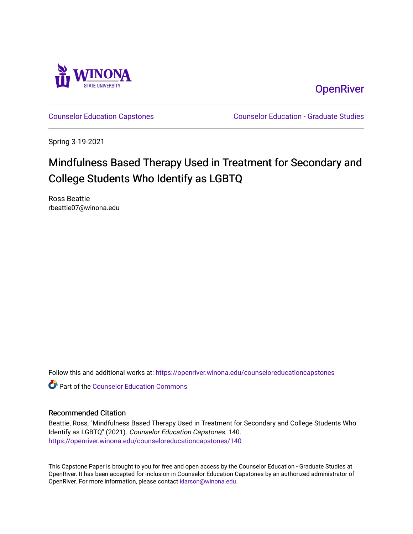

**OpenRiver** 

[Counselor Education Capstones](https://openriver.winona.edu/counseloreducationcapstones) [Counselor Education - Graduate Studies](https://openriver.winona.edu/counseloreducation) 

Spring 3-19-2021

## Mindfulness Based Therapy Used in Treatment for Secondary and College Students Who Identify as LGBTQ

Ross Beattie rbeattie07@winona.edu

Follow this and additional works at: [https://openriver.winona.edu/counseloreducationcapstones](https://openriver.winona.edu/counseloreducationcapstones?utm_source=openriver.winona.edu%2Fcounseloreducationcapstones%2F140&utm_medium=PDF&utm_campaign=PDFCoverPages)

**C** Part of the Counselor Education Commons

#### Recommended Citation

Beattie, Ross, "Mindfulness Based Therapy Used in Treatment for Secondary and College Students Who Identify as LGBTQ" (2021). Counselor Education Capstones. 140. [https://openriver.winona.edu/counseloreducationcapstones/140](https://openriver.winona.edu/counseloreducationcapstones/140?utm_source=openriver.winona.edu%2Fcounseloreducationcapstones%2F140&utm_medium=PDF&utm_campaign=PDFCoverPages)

This Capstone Paper is brought to you for free and open access by the Counselor Education - Graduate Studies at OpenRiver. It has been accepted for inclusion in Counselor Education Capstones by an authorized administrator of OpenRiver. For more information, please contact [klarson@winona.edu](mailto:klarson@winona.edu).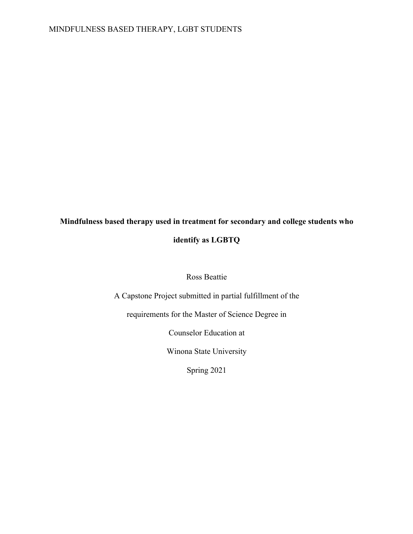# **Mindfulness based therapy used in treatment for secondary and college students who**

### **identify as LGBTQ**

#### Ross Beattie

A Capstone Project submitted in partial fulfillment of the

requirements for the Master of Science Degree in

Counselor Education at

Winona State University

Spring 2021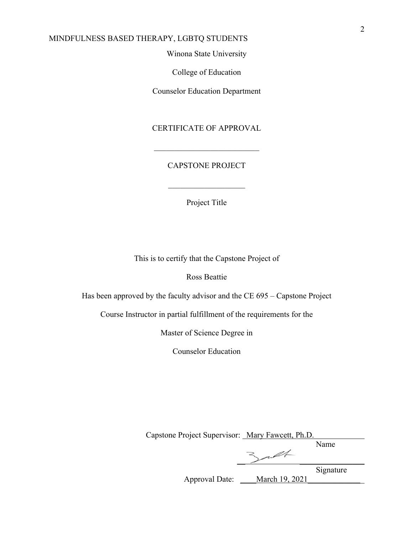#### Winona State University

College of Education

Counselor Education Department

CERTIFICATE OF APPROVAL

#### CAPSTONE PROJECT

Project Title

This is to certify that the Capstone Project of

Ross Beattie

Has been approved by the faculty advisor and the CE 695 – Capstone Project

Course Instructor in partial fulfillment of the requirements for the

Master of Science Degree in

Counselor Education

Capstone Project Supervisor: Mary Fawcett, Ph.D. Name

 $\mathcal{A}$ 

**Signature** 

Approval Date: \_\_\_\_March 19, 2021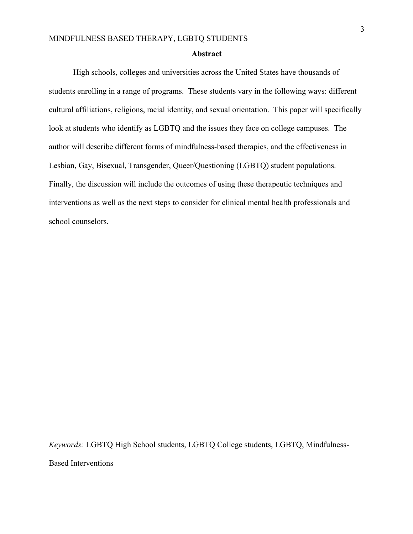#### **Abstract**

High schools, colleges and universities across the United States have thousands of students enrolling in a range of programs. These students vary in the following ways: different cultural affiliations, religions, racial identity, and sexual orientation. This paper will specifically look at students who identify as LGBTQ and the issues they face on college campuses. The author will describe different forms of mindfulness-based therapies, and the effectiveness in Lesbian, Gay, Bisexual, Transgender, Queer/Questioning (LGBTQ) student populations. Finally, the discussion will include the outcomes of using these therapeutic techniques and interventions as well as the next steps to consider for clinical mental health professionals and school counselors.

*Keywords:* LGBTQ High School students, LGBTQ College students, LGBTQ, Mindfulness-

Based Interventions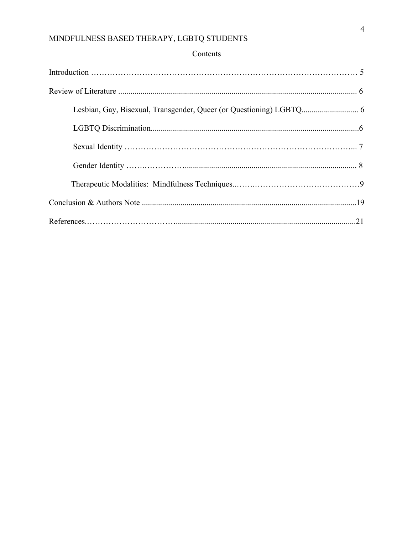## Contents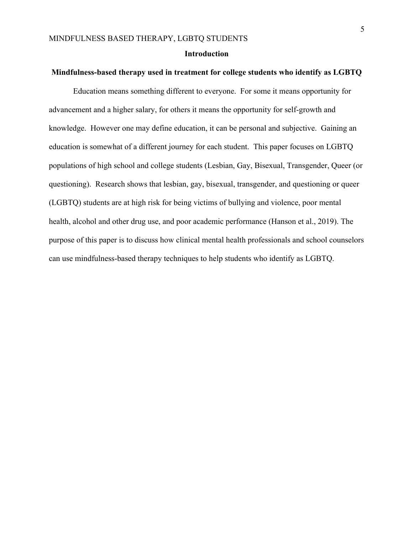#### **Introduction**

#### **Mindfulness-based therapy used in treatment for college students who identify as LGBTQ**

Education means something different to everyone. For some it means opportunity for advancement and a higher salary, for others it means the opportunity for self-growth and knowledge. However one may define education, it can be personal and subjective. Gaining an education is somewhat of a different journey for each student. This paper focuses on LGBTQ populations of high school and college students (Lesbian, Gay, Bisexual, Transgender, Queer (or questioning). Research shows that lesbian, gay, bisexual, transgender, and questioning or queer (LGBTQ) students are at high risk for being victims of bullying and violence, poor mental health, alcohol and other drug use, and poor academic performance (Hanson et al., 2019). The purpose of this paper is to discuss how clinical mental health professionals and school counselors can use mindfulness-based therapy techniques to help students who identify as LGBTQ.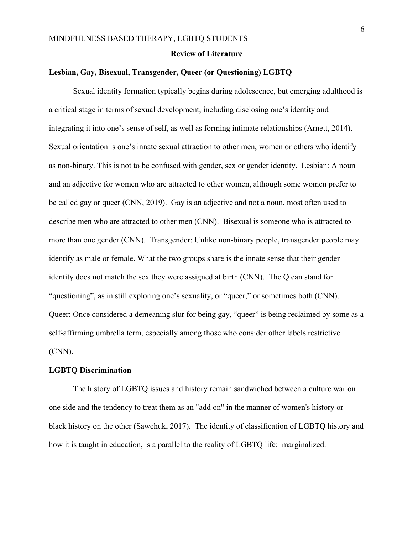#### **Review of Literature**

#### **Lesbian, Gay, Bisexual, Transgender, Queer (or Questioning) LGBTQ**

Sexual identity formation typically begins during adolescence, but emerging adulthood is a critical stage in terms of sexual development, including disclosing one's identity and integrating it into one's sense of self, as well as forming intimate relationships (Arnett, 2014). Sexual orientation is one's innate sexual attraction to other men, women or others who identify as non-binary. This is not to be confused with gender, sex or gender identity. Lesbian: A noun and an adjective for women who are attracted to other women, although some women prefer to be called gay or queer (CNN, 2019). Gay is an adjective and not a noun, most often used to describe men who are attracted to other men (CNN). Bisexual is someone who is attracted to more than one gender (CNN). Transgender: Unlike non-binary people, transgender people may identify as male or female. What the two groups share is the innate sense that their gender identity does not match the sex they were assigned at birth (CNN). The Q can stand for "questioning", as in still exploring one's sexuality, or "queer," or sometimes both (CNN). Queer: Once considered a demeaning slur for being gay, "queer" is being reclaimed by some as a self-affirming umbrella term, especially among those who consider other labels restrictive (CNN).

#### **LGBTQ Discrimination**

The history of LGBTQ issues and history remain sandwiched between a culture war on one side and the tendency to treat them as an "add on" in the manner of women's history or black history on the other (Sawchuk, 2017). The identity of classification of LGBTQ history and how it is taught in education, is a parallel to the reality of LGBTQ life: marginalized.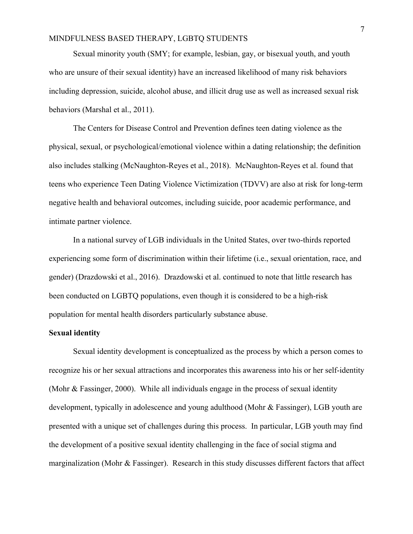Sexual minority youth (SMY; for example, lesbian, gay, or bisexual youth, and youth who are unsure of their sexual identity) have an increased likelihood of many risk behaviors including depression, suicide, alcohol abuse, and illicit drug use as well as increased sexual risk behaviors (Marshal et al., 2011).

The Centers for Disease Control and Prevention defines teen dating violence as the physical, sexual, or psychological/emotional violence within a dating relationship; the definition also includes stalking (McNaughton-Reyes et al., 2018). McNaughton-Reyes et al. found that teens who experience Teen Dating Violence Victimization (TDVV) are also at risk for long-term negative health and behavioral outcomes, including suicide, poor academic performance, and intimate partner violence.

In a national survey of LGB individuals in the United States, over two-thirds reported experiencing some form of discrimination within their lifetime (i.e., sexual orientation, race, and gender) (Drazdowski et al., 2016). Drazdowski et al. continued to note that little research has been conducted on LGBTQ populations, even though it is considered to be a high-risk population for mental health disorders particularly substance abuse.

#### **Sexual identity**

Sexual identity development is conceptualized as the process by which a person comes to recognize his or her sexual attractions and incorporates this awareness into his or her self-identity (Mohr & Fassinger, 2000). While all individuals engage in the process of sexual identity development, typically in adolescence and young adulthood (Mohr & Fassinger), LGB youth are presented with a unique set of challenges during this process. In particular, LGB youth may find the development of a positive sexual identity challenging in the face of social stigma and marginalization (Mohr & Fassinger). Research in this study discusses different factors that affect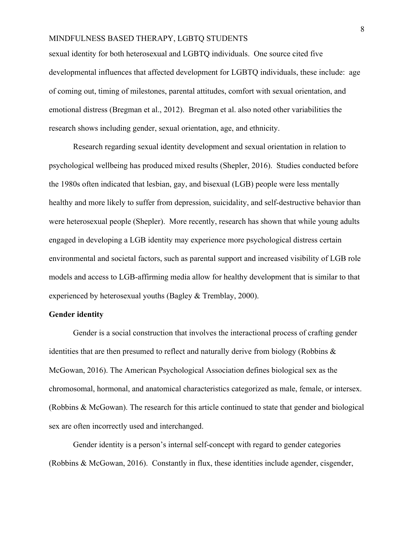sexual identity for both heterosexual and LGBTQ individuals. One source cited five developmental influences that affected development for LGBTQ individuals, these include: age of coming out, timing of milestones, parental attitudes, comfort with sexual orientation, and emotional distress (Bregman et al., 2012). Bregman et al. also noted other variabilities the research shows including gender, sexual orientation, age, and ethnicity.

Research regarding sexual identity development and sexual orientation in relation to psychological wellbeing has produced mixed results (Shepler, 2016). Studies conducted before the 1980s often indicated that lesbian, gay, and bisexual (LGB) people were less mentally healthy and more likely to suffer from depression, suicidality, and self-destructive behavior than were heterosexual people (Shepler). More recently, research has shown that while young adults engaged in developing a LGB identity may experience more psychological distress certain environmental and societal factors, such as parental support and increased visibility of LGB role models and access to LGB-affirming media allow for healthy development that is similar to that experienced by heterosexual youths (Bagley & Tremblay, 2000).

#### **Gender identity**

Gender is a social construction that involves the interactional process of crafting gender identities that are then presumed to reflect and naturally derive from biology (Robbins & McGowan, 2016). The American Psychological Association defines biological sex as the chromosomal, hormonal, and anatomical characteristics categorized as male, female, or intersex. (Robbins & McGowan). The research for this article continued to state that gender and biological sex are often incorrectly used and interchanged.

Gender identity is a person's internal self-concept with regard to gender categories (Robbins & McGowan, 2016). Constantly in flux, these identities include agender, cisgender,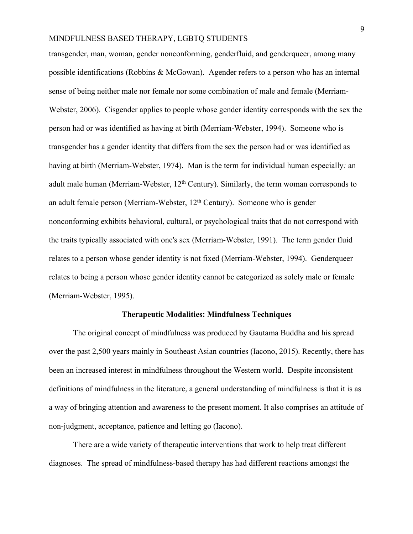transgender, man, woman, gender nonconforming, genderfluid, and genderqueer, among many possible identifications (Robbins & McGowan). Agender refers to a person who has an internal sense of being neither male nor female nor some combination of male and female (Merriam-Webster, 2006). Cisgender applies to people whose gender identity corresponds with the sex the person had or was identified as having at birth (Merriam-Webster, 1994). Someone who is transgender has a gender identity that differs from the sex the person had or was identified as having at birth (Merriam-Webster, 1974). Man is the term for individual human especially*:* an adult male human (Merriam-Webster,  $12<sup>th</sup>$  Century). Similarly, the term woman corresponds to an adult female person (Merriam-Webster,  $12<sup>th</sup>$  Century). Someone who is gender nonconforming exhibits behavioral, cultural, or psychological traits that do not correspond with the traits typically associated with one's sex (Merriam-Webster, 1991). The term gender fluid relates to a person whose gender identity is not fixed (Merriam-Webster, 1994). Genderqueer relates to being a person whose gender identity cannot be categorized as solely male or female (Merriam-Webster, 1995).

#### **Therapeutic Modalities: Mindfulness Techniques**

The original concept of mindfulness was produced by Gautama Buddha and his spread over the past 2,500 years mainly in Southeast Asian countries (Iacono, 2015). Recently, there has been an increased interest in mindfulness throughout the Western world. Despite inconsistent definitions of mindfulness in the literature, a general understanding of mindfulness is that it is as a way of bringing attention and awareness to the present moment. It also comprises an attitude of non-judgment, acceptance, patience and letting go (Iacono).

There are a wide variety of therapeutic interventions that work to help treat different diagnoses. The spread of mindfulness-based therapy has had different reactions amongst the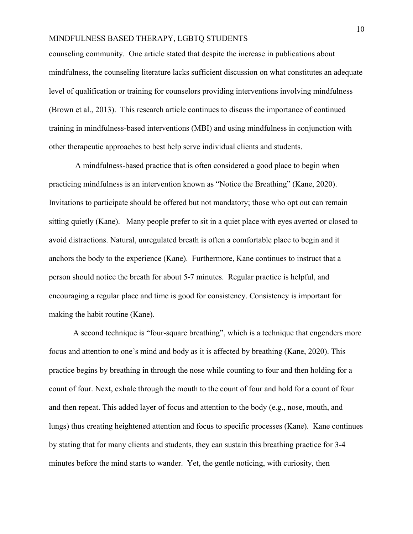counseling community. One article stated that despite the increase in publications about mindfulness, the counseling literature lacks sufficient discussion on what constitutes an adequate level of qualification or training for counselors providing interventions involving mindfulness (Brown et al., 2013). This research article continues to discuss the importance of continued training in mindfulness-based interventions (MBI) and using mindfulness in conjunction with other therapeutic approaches to best help serve individual clients and students.

A mindfulness-based practice that is often considered a good place to begin when practicing mindfulness is an intervention known as "Notice the Breathing" (Kane, 2020). Invitations to participate should be offered but not mandatory; those who opt out can remain sitting quietly (Kane). Many people prefer to sit in a quiet place with eyes averted or closed to avoid distractions. Natural, unregulated breath is often a comfortable place to begin and it anchors the body to the experience (Kane). Furthermore, Kane continues to instruct that a person should notice the breath for about 5-7 minutes. Regular practice is helpful, and encouraging a regular place and time is good for consistency. Consistency is important for making the habit routine (Kane).

A second technique is "four-square breathing", which is a technique that engenders more focus and attention to one's mind and body as it is affected by breathing (Kane, 2020). This practice begins by breathing in through the nose while counting to four and then holding for a count of four. Next, exhale through the mouth to the count of four and hold for a count of four and then repeat. This added layer of focus and attention to the body (e.g., nose, mouth, and lungs) thus creating heightened attention and focus to specific processes (Kane). Kane continues by stating that for many clients and students, they can sustain this breathing practice for 3-4 minutes before the mind starts to wander. Yet, the gentle noticing, with curiosity, then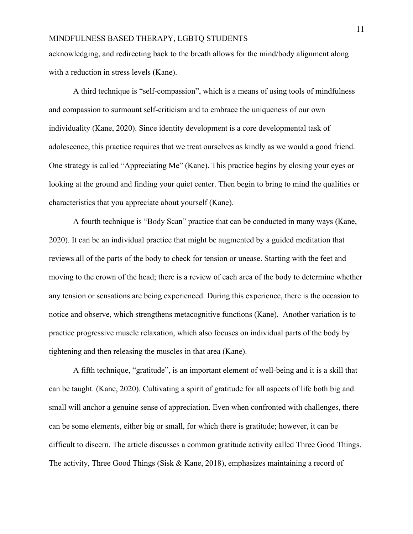acknowledging, and redirecting back to the breath allows for the mind/body alignment along with a reduction in stress levels (Kane).

A third technique is "self-compassion", which is a means of using tools of mindfulness and compassion to surmount self-criticism and to embrace the uniqueness of our own individuality (Kane, 2020). Since identity development is a core developmental task of adolescence, this practice requires that we treat ourselves as kindly as we would a good friend. One strategy is called "Appreciating Me" (Kane). This practice begins by closing your eyes or looking at the ground and finding your quiet center. Then begin to bring to mind the qualities or characteristics that you appreciate about yourself (Kane).

A fourth technique is "Body Scan" practice that can be conducted in many ways (Kane, 2020). It can be an individual practice that might be augmented by a guided meditation that reviews all of the parts of the body to check for tension or unease. Starting with the feet and moving to the crown of the head; there is a review of each area of the body to determine whether any tension or sensations are being experienced. During this experience, there is the occasion to notice and observe, which strengthens metacognitive functions (Kane). Another variation is to practice progressive muscle relaxation, which also focuses on individual parts of the body by tightening and then releasing the muscles in that area (Kane).

A fifth technique, "gratitude", is an important element of well-being and it is a skill that can be taught. (Kane, 2020). Cultivating a spirit of gratitude for all aspects of life both big and small will anchor a genuine sense of appreciation. Even when confronted with challenges, there can be some elements, either big or small, for which there is gratitude; however, it can be difficult to discern. The article discusses a common gratitude activity called Three Good Things. The activity, Three Good Things (Sisk & Kane, 2018), emphasizes maintaining a record of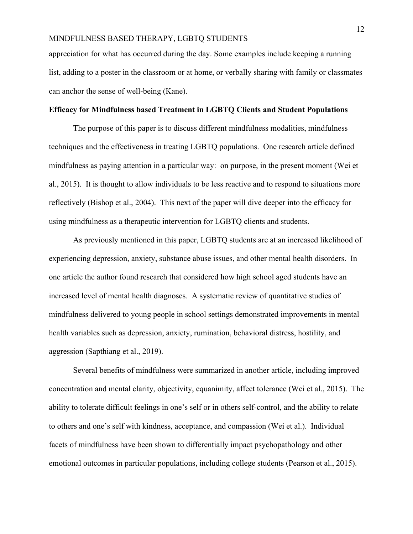appreciation for what has occurred during the day. Some examples include keeping a running list, adding to a poster in the classroom or at home, or verbally sharing with family or classmates can anchor the sense of well-being (Kane).

#### **Efficacy for Mindfulness based Treatment in LGBTQ Clients and Student Populations**

The purpose of this paper is to discuss different mindfulness modalities, mindfulness techniques and the effectiveness in treating LGBTQ populations. One research article defined mindfulness as paying attention in a particular way: on purpose, in the present moment (Wei et al., 2015). It is thought to allow individuals to be less reactive and to respond to situations more reflectively (Bishop et al., 2004). This next of the paper will dive deeper into the efficacy for using mindfulness as a therapeutic intervention for LGBTQ clients and students.

As previously mentioned in this paper, LGBTQ students are at an increased likelihood of experiencing depression, anxiety, substance abuse issues, and other mental health disorders. In one article the author found research that considered how high school aged students have an increased level of mental health diagnoses. A systematic review of quantitative studies of mindfulness delivered to young people in school settings demonstrated improvements in mental health variables such as depression, anxiety, rumination, behavioral distress, hostility, and aggression (Sapthiang et al., 2019).

Several benefits of mindfulness were summarized in another article, including improved concentration and mental clarity, objectivity, equanimity, affect tolerance (Wei et al., 2015). The ability to tolerate difficult feelings in one's self or in others self-control, and the ability to relate to others and one's self with kindness, acceptance, and compassion (Wei et al.). Individual facets of mindfulness have been shown to differentially impact psychopathology and other emotional outcomes in particular populations, including college students (Pearson et al., 2015).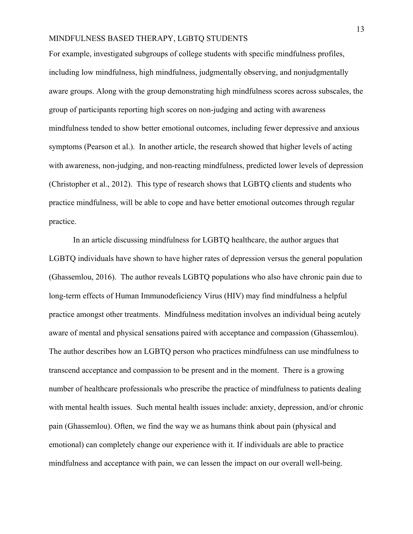For example, investigated subgroups of college students with specific mindfulness profiles, including low mindfulness, high mindfulness, judgmentally observing, and nonjudgmentally aware groups. Along with the group demonstrating high mindfulness scores across subscales, the group of participants reporting high scores on non-judging and acting with awareness mindfulness tended to show better emotional outcomes, including fewer depressive and anxious symptoms (Pearson et al.). In another article, the research showed that higher levels of acting with awareness, non-judging, and non-reacting mindfulness, predicted lower levels of depression (Christopher et al., 2012). This type of research shows that LGBTQ clients and students who practice mindfulness, will be able to cope and have better emotional outcomes through regular practice.

In an article discussing mindfulness for LGBTQ healthcare, the author argues that LGBTQ individuals have shown to have higher rates of depression versus the general population (Ghassemlou, 2016). The author reveals LGBTQ populations who also have chronic pain due to long-term effects of Human Immunodeficiency Virus (HIV) may find mindfulness a helpful practice amongst other treatments. Mindfulness meditation involves an individual being acutely aware of mental and physical sensations paired with acceptance and compassion (Ghassemlou). The author describes how an LGBTQ person who practices mindfulness can use mindfulness to transcend acceptance and compassion to be present and in the moment. There is a growing number of healthcare professionals who prescribe the practice of mindfulness to patients dealing with mental health issues. Such mental health issues include: anxiety, depression, and/or chronic pain (Ghassemlou). Often, we find the way we as humans think about pain (physical and emotional) can completely change our experience with it. If individuals are able to practice mindfulness and acceptance with pain, we can lessen the impact on our overall well-being.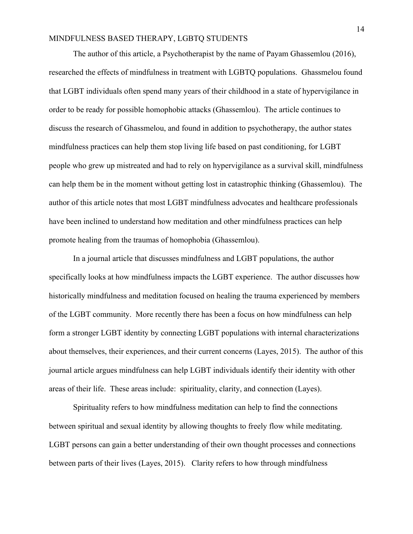The author of this article, a Psychotherapist by the name of Payam Ghassemlou (2016), researched the effects of mindfulness in treatment with LGBTQ populations. Ghassmelou found that LGBT individuals often spend many years of their childhood in a state of hypervigilance in order to be ready for possible homophobic attacks (Ghassemlou). The article continues to discuss the research of Ghassmelou, and found in addition to psychotherapy, the author states mindfulness practices can help them stop living life based on past conditioning, for LGBT people who grew up mistreated and had to rely on hypervigilance as a survival skill, mindfulness can help them be in the moment without getting lost in catastrophic thinking (Ghassemlou). The author of this article notes that most LGBT mindfulness advocates and healthcare professionals have been inclined to understand how meditation and other mindfulness practices can help promote healing from the traumas of homophobia (Ghassemlou).

In a journal article that discusses mindfulness and LGBT populations, the author specifically looks at how mindfulness impacts the LGBT experience. The author discusses how historically mindfulness and meditation focused on healing the trauma experienced by members of the LGBT community. More recently there has been a focus on how mindfulness can help form a stronger LGBT identity by connecting LGBT populations with internal characterizations about themselves, their experiences, and their current concerns (Layes, 2015). The author of this journal article argues mindfulness can help LGBT individuals identify their identity with other areas of their life. These areas include: spirituality, clarity, and connection (Layes).

Spirituality refers to how mindfulness meditation can help to find the connections between spiritual and sexual identity by allowing thoughts to freely flow while meditating. LGBT persons can gain a better understanding of their own thought processes and connections between parts of their lives (Layes, 2015). Clarity refers to how through mindfulness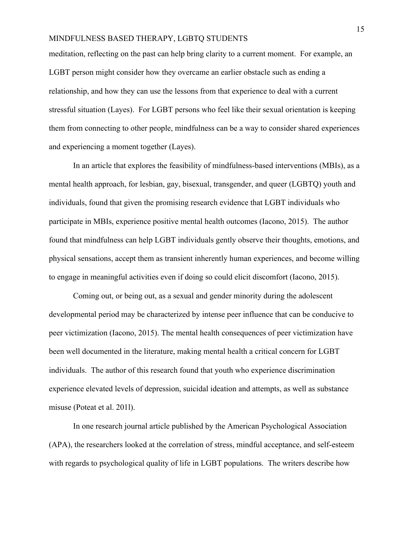meditation, reflecting on the past can help bring clarity to a current moment. For example, an LGBT person might consider how they overcame an earlier obstacle such as ending a relationship, and how they can use the lessons from that experience to deal with a current stressful situation (Layes).For LGBT persons who feel like their sexual orientation is keeping them from connecting to other people, mindfulness can be a way to consider shared experiences and experiencing a moment together (Layes).

In an article that explores the feasibility of mindfulness-based interventions (MBIs), as a mental health approach, for lesbian, gay, bisexual, transgender, and queer (LGBTQ) youth and individuals, found that given the promising research evidence that LGBT individuals who participate in MBIs, experience positive mental health outcomes (Iacono, 2015). The author found that mindfulness can help LGBT individuals gently observe their thoughts, emotions, and physical sensations, accept them as transient inherently human experiences, and become willing to engage in meaningful activities even if doing so could elicit discomfort (Iacono, 2015).

Coming out, or being out, as a sexual and gender minority during the adolescent developmental period may be characterized by intense peer influence that can be conducive to peer victimization (Iacono, 2015). The mental health consequences of peer victimization have been well documented in the literature, making mental health a critical concern for LGBT individuals. The author of this research found that youth who experience discrimination experience elevated levels of depression, suicidal ideation and attempts, as well as substance misuse (Poteat et al. 201l).

In one research journal article published by the American Psychological Association (APA), the researchers looked at the correlation of stress, mindful acceptance, and self-esteem with regards to psychological quality of life in LGBT populations. The writers describe how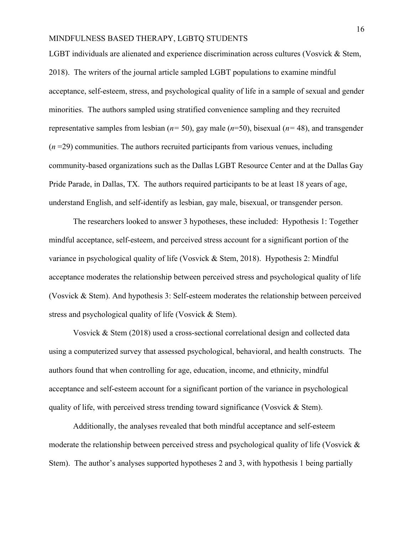LGBT individuals are alienated and experience discrimination across cultures (Vosvick & Stem, 2018). The writers of the journal article sampled LGBT populations to examine mindful acceptance, self-esteem, stress, and psychological quality of life in a sample of sexual and gender minorities. The authors sampled using stratified convenience sampling and they recruited representative samples from lesbian (*n=* 50), gay male (*n*=50), bisexual (*n=* 48), and transgender  $(n=29)$  communities. The authors recruited participants from various venues, including community-based organizations such as the Dallas LGBT Resource Center and at the Dallas Gay Pride Parade, in Dallas, TX. The authors required participants to be at least 18 years of age, understand English, and self-identify as lesbian, gay male, bisexual, or transgender person.

The researchers looked to answer 3 hypotheses, these included: Hypothesis 1: Together mindful acceptance, self-esteem, and perceived stress account for a significant portion of the variance in psychological quality of life (Vosvick & Stem, 2018). Hypothesis 2: Mindful acceptance moderates the relationship between perceived stress and psychological quality of life (Vosvick & Stem). And hypothesis 3: Self-esteem moderates the relationship between perceived stress and psychological quality of life (Vosvick & Stem).

Vosvick & Stem (2018) used a cross-sectional correlational design and collected data using a computerized survey that assessed psychological, behavioral, and health constructs. The authors found that when controlling for age, education, income, and ethnicity, mindful acceptance and self-esteem account for a significant portion of the variance in psychological quality of life, with perceived stress trending toward significance (Vosvick & Stem).

Additionally, the analyses revealed that both mindful acceptance and self-esteem moderate the relationship between perceived stress and psychological quality of life (Vosvick & Stem). The author's analyses supported hypotheses 2 and 3, with hypothesis 1 being partially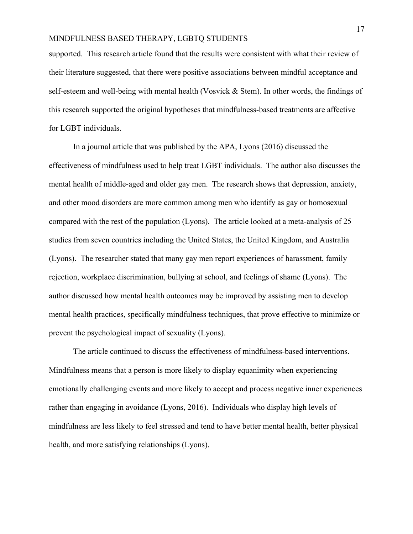supported. This research article found that the results were consistent with what their review of their literature suggested, that there were positive associations between mindful acceptance and self-esteem and well-being with mental health (Vosvick & Stem). In other words, the findings of this research supported the original hypotheses that mindfulness-based treatments are affective for LGBT individuals.

In a journal article that was published by the APA, Lyons (2016) discussed the effectiveness of mindfulness used to help treat LGBT individuals. The author also discusses the mental health of middle-aged and older gay men. The research shows that depression, anxiety, and other mood disorders are more common among men who identify as gay or homosexual compared with the rest of the population (Lyons). The article looked at a meta-analysis of 25 studies from seven countries including the United States, the United Kingdom, and Australia (Lyons). The researcher stated that many gay men report experiences of harassment, family rejection, workplace discrimination, bullying at school, and feelings of shame (Lyons). The author discussed how mental health outcomes may be improved by assisting men to develop mental health practices, specifically mindfulness techniques, that prove effective to minimize or prevent the psychological impact of sexuality (Lyons).

The article continued to discuss the effectiveness of mindfulness-based interventions. Mindfulness means that a person is more likely to display equanimity when experiencing emotionally challenging events and more likely to accept and process negative inner experiences rather than engaging in avoidance (Lyons, 2016). Individuals who display high levels of mindfulness are less likely to feel stressed and tend to have better mental health, better physical health, and more satisfying relationships (Lyons).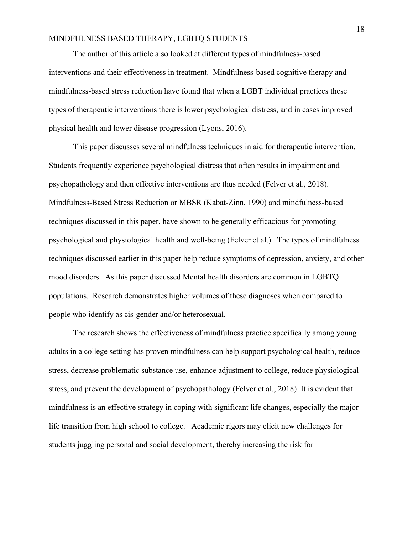The author of this article also looked at different types of mindfulness-based interventions and their effectiveness in treatment. Mindfulness-based cognitive therapy and mindfulness-based stress reduction have found that when a LGBT individual practices these types of therapeutic interventions there is lower psychological distress, and in cases improved physical health and lower disease progression (Lyons, 2016).

This paper discusses several mindfulness techniques in aid for therapeutic intervention. Students frequently experience psychological distress that often results in impairment and psychopathology and then effective interventions are thus needed (Felver et al., 2018). Mindfulness-Based Stress Reduction or MBSR (Kabat-Zinn, 1990) and mindfulness-based techniques discussed in this paper, have shown to be generally efficacious for promoting psychological and physiological health and well-being (Felver et al.). The types of mindfulness techniques discussed earlier in this paper help reduce symptoms of depression, anxiety, and other mood disorders. As this paper discussed Mental health disorders are common in LGBTQ populations. Research demonstrates higher volumes of these diagnoses when compared to people who identify as cis-gender and/or heterosexual.

The research shows the effectiveness of mindfulness practice specifically among young adults in a college setting has proven mindfulness can help support psychological health, reduce stress, decrease problematic substance use, enhance adjustment to college, reduce physiological stress, and prevent the development of psychopathology (Felver et al., 2018) It is evident that mindfulness is an effective strategy in coping with significant life changes, especially the major life transition from high school to college. Academic rigors may elicit new challenges for students juggling personal and social development, thereby increasing the risk for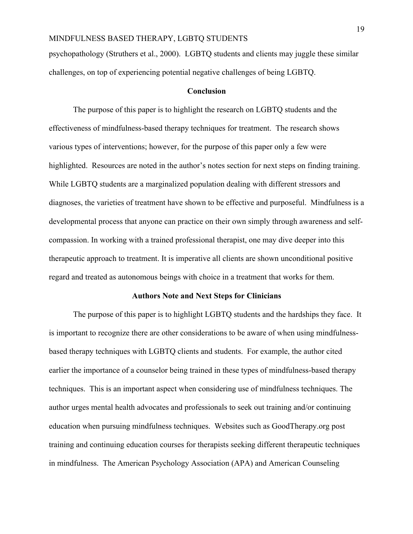psychopathology (Struthers et al., 2000). LGBTQ students and clients may juggle these similar challenges, on top of experiencing potential negative challenges of being LGBTQ.

#### **Conclusion**

The purpose of this paper is to highlight the research on LGBTQ students and the effectiveness of mindfulness-based therapy techniques for treatment. The research shows various types of interventions; however, for the purpose of this paper only a few were highlighted. Resources are noted in the author's notes section for next steps on finding training. While LGBTQ students are a marginalized population dealing with different stressors and diagnoses, the varieties of treatment have shown to be effective and purposeful. Mindfulness is a developmental process that anyone can practice on their own simply through awareness and selfcompassion. In working with a trained professional therapist, one may dive deeper into this therapeutic approach to treatment. It is imperative all clients are shown unconditional positive regard and treated as autonomous beings with choice in a treatment that works for them.

#### **Authors Note and Next Steps for Clinicians**

The purpose of this paper is to highlight LGBTQ students and the hardships they face. It is important to recognize there are other considerations to be aware of when using mindfulnessbased therapy techniques with LGBTQ clients and students. For example, the author cited earlier the importance of a counselor being trained in these types of mindfulness-based therapy techniques. This is an important aspect when considering use of mindfulness techniques. The author urges mental health advocates and professionals to seek out training and/or continuing education when pursuing mindfulness techniques. Websites such as GoodTherapy.org post training and continuing education courses for therapists seeking different therapeutic techniques in mindfulness. The American Psychology Association (APA) and American Counseling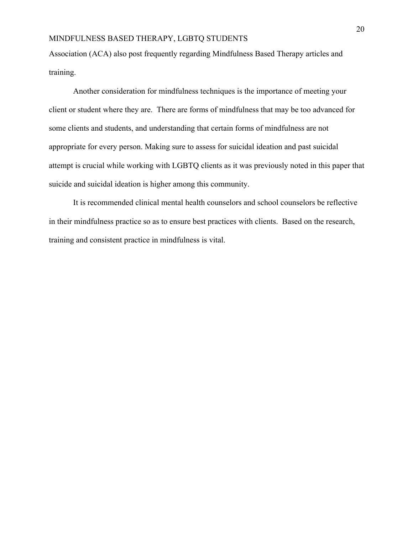Association (ACA) also post frequently regarding Mindfulness Based Therapy articles and training.

Another consideration for mindfulness techniques is the importance of meeting your client or student where they are. There are forms of mindfulness that may be too advanced for some clients and students, and understanding that certain forms of mindfulness are not appropriate for every person. Making sure to assess for suicidal ideation and past suicidal attempt is crucial while working with LGBTQ clients as it was previously noted in this paper that suicide and suicidal ideation is higher among this community.

It is recommended clinical mental health counselors and school counselors be reflective in their mindfulness practice so as to ensure best practices with clients. Based on the research, training and consistent practice in mindfulness is vital.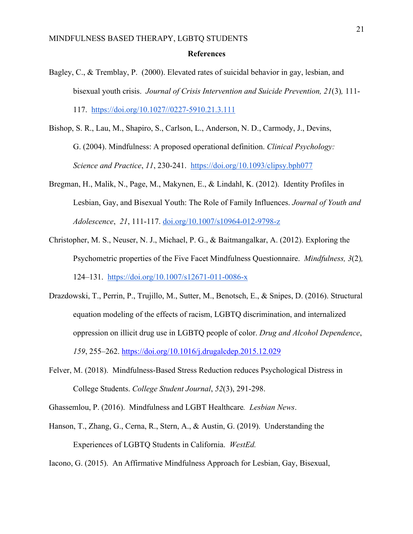#### **References**

- Bagley, C., & Tremblay, P. (2000). Elevated rates of suicidal behavior in gay, lesbian, and bisexual youth crisis. *Journal of Crisis Intervention and Suicide Prevention, 21*(3)*,* 111- 117. https://doi.org/10.1027//0227-5910.21.3.111
- Bishop, S. R., Lau, M., Shapiro, S., Carlson, L., Anderson, N. D., Carmody, J., Devins, G. (2004). Mindfulness: A proposed operational definition. *Clinical Psychology: Science and Practice*, *11*, 230-241. https://doi.org/10.1093/clipsy.bph077
- Bregman, H., Malik, N., Page, M., Makynen, E., & Lindahl, K. (2012). Identity Profiles in Lesbian, Gay, and Bisexual Youth: The Role of Family Influences. *Journal of Youth and Adolescence*, *21*, 111-117. doi.org/10.1007/s10964-012-9798-z
- Christopher, M. S., Neuser, N. J., Michael, P. G., & Baitmangalkar, A. (2012). Exploring the Psychometric properties of the Five Facet Mindfulness Questionnaire. *Mindfulness, 3*(2)*,* 124–131. https://doi.org/10.1007/s12671-011-0086-x
- Drazdowski, T., Perrin, P., Trujillo, M., Sutter, M., Benotsch, E., & Snipes, D. (2016). Structural equation modeling of the effects of racism, LGBTQ discrimination, and internalized oppression on illicit drug use in LGBTQ people of color. *Drug and Alcohol Dependence*, *159*, 255–262. https://doi.org/10.1016/j.drugalcdep.2015.12.029
- Felver, M. (2018). Mindfulness-Based Stress Reduction reduces Psychological Distress in College Students. *College Student Journal*, *52*(3), 291-298.
- Ghassemlou, P. (2016). Mindfulness and LGBT Healthcare*. Lesbian News*.
- Hanson, T., Zhang, G., Cerna, R., Stern, A., & Austin, G. (2019). Understanding the Experiences of LGBTQ Students in California. *WestEd.*

Iacono, G. (2015). An Affirmative Mindfulness Approach for Lesbian, Gay, Bisexual,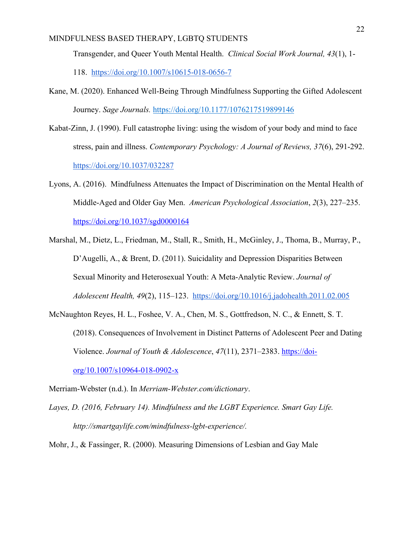Transgender, and Queer Youth Mental Health. *Clinical Social Work Journal, 43*(1), 1-

118. https://doi.org/10.1007/s10615-018-0656-7

- Kane, M. (2020). Enhanced Well-Being Through Mindfulness Supporting the Gifted Adolescent Journey. *Sage Journals.* https://doi.org/10.1177/1076217519899146
- Kabat-Zinn, J. (1990). Full catastrophe living: using the wisdom of your body and mind to face stress, pain and illness. *Contemporary Psychology: A Journal of Reviews, 37*(6), 291-292. https://doi.org/10.1037/032287
- Lyons, A. (2016). Mindfulness Attenuates the Impact of Discrimination on the Mental Health of Middle-Aged and Older Gay Men. *American Psychological Association*, *2*(3), 227–235. https://doi.org/10.1037/sgd0000164
- Marshal, M., Dietz, L., Friedman, M., Stall, R., Smith, H., McGinley, J., Thoma, B., Murray, P., D'Augelli, A., & Brent, D. (2011). Suicidality and Depression Disparities Between Sexual Minority and Heterosexual Youth: A Meta-Analytic Review. *Journal of Adolescent Health, 49*(2), 115–123. https://doi.org/10.1016/j.jadohealth.2011.02.005
- McNaughton Reyes, H. L., Foshee, V. A., Chen, M. S., Gottfredson, N. C., & Ennett, S. T. (2018). Consequences of Involvement in Distinct Patterns of Adolescent Peer and Dating Violence. *Journal of Youth & Adolescence*, *47*(11), 2371–2383. https://doiorg/10.1007/s10964-018-0902-x

Merriam-Webster (n.d.). In *Merriam-Webster.com/dictionary*.

- *Layes, D. (2016, February 14). Mindfulness and the LGBT Experience. Smart Gay Life. http://smartgaylife.com/mindfulness-lgbt-experience/.*
- Mohr, J., & Fassinger, R. (2000). Measuring Dimensions of Lesbian and Gay Male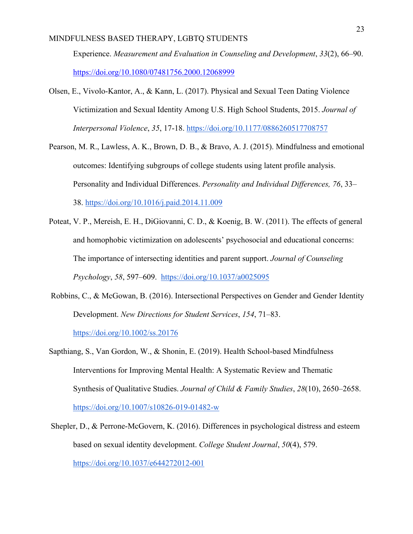Experience. *Measurement and Evaluation in Counseling and Development*, *33*(2), 66–90. https://doi.org/10.1080/07481756.2000.12068999

- Olsen, E., Vivolo-Kantor, A., & Kann, L. (2017). Physical and Sexual Teen Dating Violence Victimization and Sexual Identity Among U.S. High School Students, 2015. *Journal of Interpersonal Violence*, *35*, 17-18. https://doi.org/10.1177/0886260517708757
- Pearson, M. R., Lawless, A. K., Brown, D. B., & Bravo, A. J. (2015). Mindfulness and emotional outcomes: Identifying subgroups of college students using latent profile analysis. Personality and Individual Differences. *Personality and Individual Differences, 76*, 33– 38. https://doi.org/10.1016/j.paid.2014.11.009
- Poteat, V. P., Mereish, E. H., DiGiovanni, C. D., & Koenig, B. W. (2011). The effects of general and homophobic victimization on adolescents' psychosocial and educational concerns: The importance of intersecting identities and parent support. *Journal of Counseling Psychology*, *58*, 597–609. https://doi.org/10.1037/a0025095
- Robbins, C., & McGowan, B. (2016). Intersectional Perspectives on Gender and Gender Identity Development. *New Directions for Student Services*, *154*, 71–83. https://doi.org/10.1002/ss.20176
- Sapthiang, S., Van Gordon, W., & Shonin, E. (2019). Health School-based Mindfulness Interventions for Improving Mental Health: A Systematic Review and Thematic Synthesis of Qualitative Studies. *Journal of Child & Family Studies*, *28*(10), 2650–2658. https://doi.org/10.1007/s10826-019-01482-w
- Shepler, D., & Perrone-McGovern, K. (2016). Differences in psychological distress and esteem based on sexual identity development. *College Student Journal*, *50*(4), 579. https://doi.org/10.1037/e644272012-001